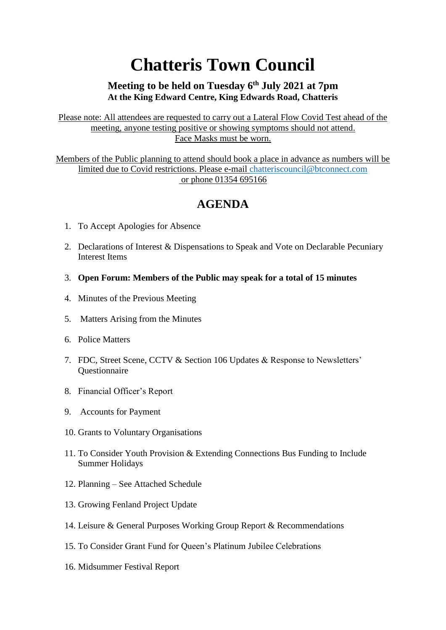## **Chatteris Town Council**

## **Meeting to be held on Tuesday 6th July 2021 at 7pm At the King Edward Centre, King Edwards Road, Chatteris**

Please note: All attendees are requested to carry out a Lateral Flow Covid Test ahead of the meeting, anyone testing positive or showing symptoms should not attend. Face Masks must be worn.

Members of the Public planning to attend should book a place in advance as numbers will be limited due to Covid restrictions. Please e-mail [chatteriscouncil@btconnect.com](mailto:chatteriscouncil@btconnect.com) or phone 01354 695166

## **AGENDA**

- 1. To Accept Apologies for Absence
- 2. Declarations of Interest & Dispensations to Speak and Vote on Declarable Pecuniary Interest Items
- 3. **Open Forum: Members of the Public may speak for a total of 15 minutes**
- 4. Minutes of the Previous Meeting
- 5. Matters Arising from the Minutes
- 6. Police Matters
- 7. FDC, Street Scene, CCTV & Section 106 Updates & Response to Newsletters' **Ouestionnaire**
- 8. Financial Officer's Report
- 9. Accounts for Payment
- 10. Grants to Voluntary Organisations
- 11. To Consider Youth Provision & Extending Connections Bus Funding to Include Summer Holidays
- 12. Planning See Attached Schedule
- 13. Growing Fenland Project Update
- 14. Leisure & General Purposes Working Group Report & Recommendations
- 15. To Consider Grant Fund for Queen's Platinum Jubilee Celebrations
- 16. Midsummer Festival Report